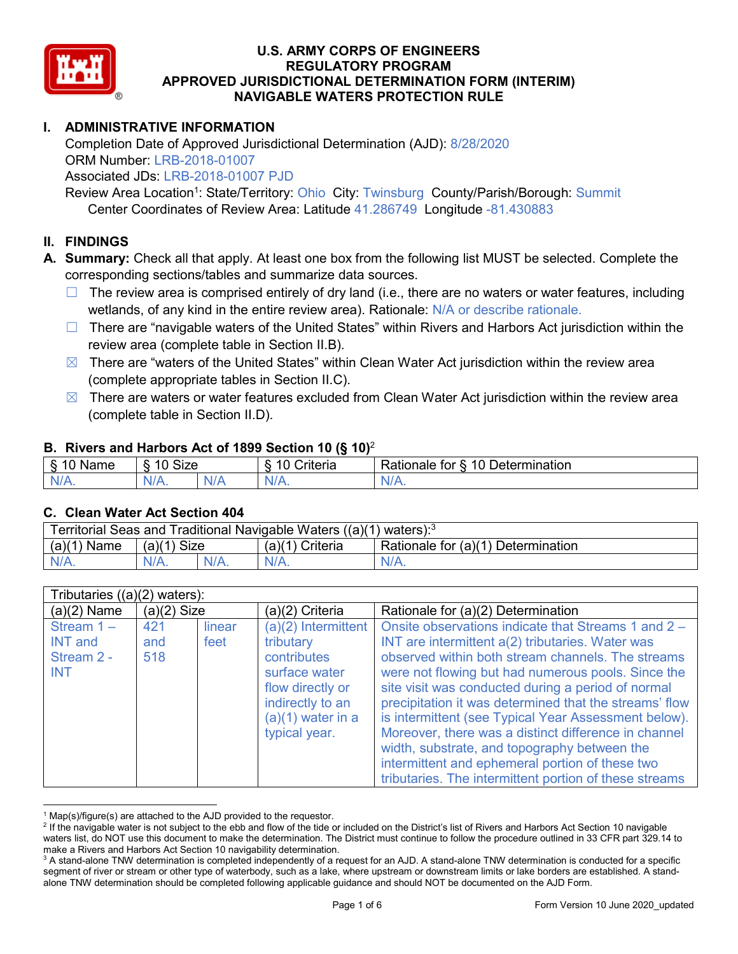

# **I. ADMINISTRATIVE INFORMATION**

Completion Date of Approved Jurisdictional Determination (AJD): 8/28/2020 ORM Number: LRB-2018-01007 Associated JDs: LRB-2018-01007 PJD

Review Area Location<sup>1</sup>: State/Territory: Ohio City: Twinsburg County/Parish/Borough: Summit Center Coordinates of Review Area: Latitude 41.286749 Longitude -81.430883

## **II. FINDINGS**

**A. Summary:** Check all that apply. At least one box from the following list MUST be selected. Complete the corresponding sections/tables and summarize data sources.

- $\Box$  The review area is comprised entirely of dry land (i.e., there are no waters or water features, including wetlands, of any kind in the entire review area). Rationale: N/A or describe rationale.
- $\Box$  There are "navigable waters of the United States" within Rivers and Harbors Act jurisdiction within the review area (complete table in Section II.B).
- $\boxtimes$  There are "waters of the United States" within Clean Water Act jurisdiction within the review area (complete appropriate tables in Section II.C).
- $\boxtimes$  There are waters or water features excluded from Clean Water Act jurisdiction within the review area (complete table in Section II.D).

#### **B. Rivers and Harbors Act of 1899 Section 10 (§ 10)**<sup>2</sup>

|                           | . .                  |        |                                                      |                                                 |  |  |  |
|---------------------------|----------------------|--------|------------------------------------------------------|-------------------------------------------------|--|--|--|
| $\sim$<br>$-$<br>ame<br>◡ | 10<br>$\sim$<br>SIZE |        | .<br>10<br>$"$ rıt $\sim$ rı $\sim$<br><b>AILCIT</b> | Determination<br>$\sqrt{ }$<br>Rationale<br>tor |  |  |  |
| $N/A$ .                   | 1M/<br>97 / TV .     | w<br>. | $N/A$ .                                              | $N_{\ell}$<br>$\mathbf{v}$                      |  |  |  |

#### **C. Clean Water Act Section 404**

| Territorial Seas and Traditional Navigable Waters $((a)(1)$ waters): <sup>3</sup> |               |         |                   |                                    |  |  |
|-----------------------------------------------------------------------------------|---------------|---------|-------------------|------------------------------------|--|--|
| $(a)(1)$ Name                                                                     | $(a)(1)$ Size |         | $(a)(1)$ Criteria | Rationale for (a)(1) Determination |  |  |
| $N/A$ .                                                                           |               | $N/A$ . | $N/A$ .           | $N/A$ .                            |  |  |

|                                                            | Tributaries $((a)(2)$ waters): |                |                                                                                                                                                    |                                                                                                                                                                                                                                                                                                                                                                                                                                                                                                                                                       |  |  |
|------------------------------------------------------------|--------------------------------|----------------|----------------------------------------------------------------------------------------------------------------------------------------------------|-------------------------------------------------------------------------------------------------------------------------------------------------------------------------------------------------------------------------------------------------------------------------------------------------------------------------------------------------------------------------------------------------------------------------------------------------------------------------------------------------------------------------------------------------------|--|--|
| $(a)(2)$ Name                                              | $(a)(2)$ Size                  |                | (a)(2) Criteria                                                                                                                                    | Rationale for (a)(2) Determination                                                                                                                                                                                                                                                                                                                                                                                                                                                                                                                    |  |  |
| Stream $1 -$<br><b>INT</b> and<br>Stream 2 -<br><b>INT</b> | 421<br>and<br>518              | linear<br>feet | $(a)(2)$ Intermittent<br>tributary<br>contributes<br>surface water<br>flow directly or<br>indirectly to an<br>$(a)(1)$ water in a<br>typical year. | Onsite observations indicate that Streams 1 and 2 -<br>INT are intermittent a(2) tributaries. Water was<br>observed within both stream channels. The streams<br>were not flowing but had numerous pools. Since the<br>site visit was conducted during a period of normal<br>precipitation it was determined that the streams' flow<br>is intermittent (see Typical Year Assessment below).<br>Moreover, there was a distinct difference in channel<br>width, substrate, and topography between the<br>intermittent and ephemeral portion of these two |  |  |
|                                                            |                                |                |                                                                                                                                                    | tributaries. The intermittent portion of these streams                                                                                                                                                                                                                                                                                                                                                                                                                                                                                                |  |  |

<sup>&</sup>lt;sup>1</sup> Map(s)/figure(s) are attached to the AJD provided to the requestor.<br><sup>2</sup> If the navigable water is not subject to the ebb and flow of the tide or included on the District's list of Rivers and Harbors Act Section 10 nav waters list, do NOT use this document to make the determination. The District must continue to follow the procedure outlined in 33 CFR part 329.14 to make a Rivers and Harbors Act Section 10 navigability determination.

<sup>&</sup>lt;sup>3</sup> A stand-alone TNW determination is completed independently of a request for an AJD. A stand-alone TNW determination is conducted for a specific segment of river or stream or other type of waterbody, such as a lake, where upstream or downstream limits or lake borders are established. A standalone TNW determination should be completed following applicable guidance and should NOT be documented on the AJD Form.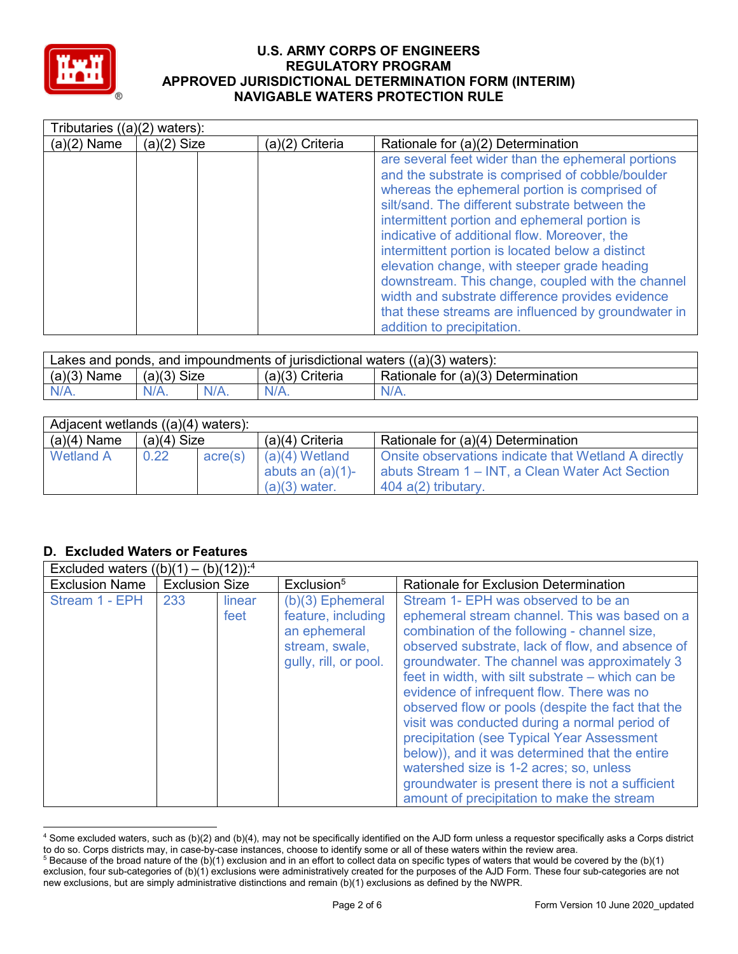

|               | Tributaries $((a)(2)$ waters): |                 |                                                                                                                                                                                                                                                                                                                                                                                                                                                                                                                                                                                                              |  |  |
|---------------|--------------------------------|-----------------|--------------------------------------------------------------------------------------------------------------------------------------------------------------------------------------------------------------------------------------------------------------------------------------------------------------------------------------------------------------------------------------------------------------------------------------------------------------------------------------------------------------------------------------------------------------------------------------------------------------|--|--|
| $(a)(2)$ Name | $(a)(2)$ Size                  | (a)(2) Criteria | Rationale for (a)(2) Determination                                                                                                                                                                                                                                                                                                                                                                                                                                                                                                                                                                           |  |  |
|               |                                |                 | are several feet wider than the ephemeral portions<br>and the substrate is comprised of cobble/boulder<br>whereas the ephemeral portion is comprised of<br>silt/sand. The different substrate between the<br>intermittent portion and ephemeral portion is<br>indicative of additional flow. Moreover, the<br>intermittent portion is located below a distinct<br>elevation change, with steeper grade heading<br>downstream. This change, coupled with the channel<br>width and substrate difference provides evidence<br>that these streams are influenced by groundwater in<br>addition to precipitation. |  |  |

| Lakes and ponds, and impoundments of jurisdictional waters $((a)(3)$ waters): |               |         |                                                         |         |  |  |
|-------------------------------------------------------------------------------|---------------|---------|---------------------------------------------------------|---------|--|--|
| $(a)(3)$ Name                                                                 | $(a)(3)$ Size |         | Rationale for (a)(3) Determination<br>$(a)(3)$ Criteria |         |  |  |
| $N/A$ .                                                                       | $N/A$ .       | $N/A$ . | $N/A$ .                                                 | $N/A$ . |  |  |

| Adjacent wetlands ((a)(4) waters): |               |         |                                                            |                                                                                                                                  |  |  |
|------------------------------------|---------------|---------|------------------------------------------------------------|----------------------------------------------------------------------------------------------------------------------------------|--|--|
| $(a)(4)$ Name                      | $(a)(4)$ Size |         | $(a)(4)$ Criteria                                          | Rationale for (a)(4) Determination                                                                                               |  |  |
| <b>Wetland A</b>                   | 0.22          | acre(s) | $(a)(4)$ Wetland<br>abuts an $(a)(1)$ -<br>$(a)(3)$ water. | Onsite observations indicate that Wetland A directly<br>abuts Stream 1 – INT, a Clean Water Act Section<br>$404$ a(2) tributary. |  |  |

## **D. Excluded Waters or Features**

| Excluded waters $((b)(1) - (b)(12))$ : <sup>4</sup> |                       |                |                                                                                                     |                                                                                                                                                                                                                                                                                                                                                                                                                                                                                                                                                                                                                                                                                               |
|-----------------------------------------------------|-----------------------|----------------|-----------------------------------------------------------------------------------------------------|-----------------------------------------------------------------------------------------------------------------------------------------------------------------------------------------------------------------------------------------------------------------------------------------------------------------------------------------------------------------------------------------------------------------------------------------------------------------------------------------------------------------------------------------------------------------------------------------------------------------------------------------------------------------------------------------------|
| <b>Exclusion Name</b>                               | <b>Exclusion Size</b> |                | Exclusion <sup>5</sup>                                                                              | Rationale for Exclusion Determination                                                                                                                                                                                                                                                                                                                                                                                                                                                                                                                                                                                                                                                         |
| Stream 1 - EPH                                      | 233                   | linear<br>feet | $(b)(3)$ Ephemeral<br>feature, including<br>an ephemeral<br>stream, swale,<br>gully, rill, or pool. | Stream 1- EPH was observed to be an<br>ephemeral stream channel. This was based on a<br>combination of the following - channel size,<br>observed substrate, lack of flow, and absence of<br>groundwater. The channel was approximately 3<br>feet in width, with silt substrate – which can be<br>evidence of infrequent flow. There was no<br>observed flow or pools (despite the fact that the<br>visit was conducted during a normal period of<br>precipitation (see Typical Year Assessment<br>below)), and it was determined that the entire<br>watershed size is 1-2 acres; so, unless<br>groundwater is present there is not a sufficient<br>amount of precipitation to make the stream |

 <sup>4</sup> Some excluded waters, such as (b)(2) and (b)(4), may not be specifically identified on the AJD form unless a requestor specifically asks a Corps district to do so. Corps districts may, in case-by-case instances, choose to identify some or all of these waters within the review area. <sup>5</sup> Because of the broad nature of the (b)(1) exclusion and in an effort to collect data on specific types of waters that would be covered by the (b)(1)

exclusion, four sub-categories of (b)(1) exclusions were administratively created for the purposes of the AJD Form. These four sub-categories are not new exclusions, but are simply administrative distinctions and remain (b)(1) exclusions as defined by the NWPR.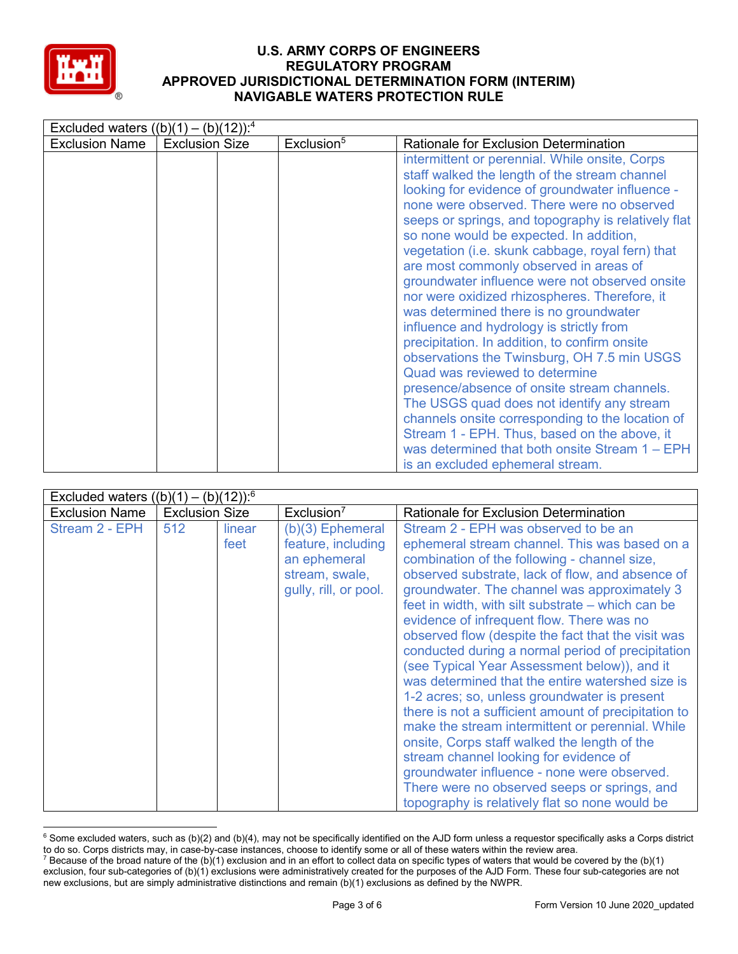

| Excluded waters $((b)(1) - (b)(12))$ : <sup>4</sup> |                       |                        |                                                                                                                                                                                                                                                                                                                                                                                                                                                                                                                                                                                                                                                                                                                                                                                                                                                                                                                                                                                                                    |  |  |
|-----------------------------------------------------|-----------------------|------------------------|--------------------------------------------------------------------------------------------------------------------------------------------------------------------------------------------------------------------------------------------------------------------------------------------------------------------------------------------------------------------------------------------------------------------------------------------------------------------------------------------------------------------------------------------------------------------------------------------------------------------------------------------------------------------------------------------------------------------------------------------------------------------------------------------------------------------------------------------------------------------------------------------------------------------------------------------------------------------------------------------------------------------|--|--|
| <b>Exclusion Name</b>                               | <b>Exclusion Size</b> | Exclusion <sup>5</sup> | <b>Rationale for Exclusion Determination</b>                                                                                                                                                                                                                                                                                                                                                                                                                                                                                                                                                                                                                                                                                                                                                                                                                                                                                                                                                                       |  |  |
|                                                     |                       |                        | intermittent or perennial. While onsite, Corps<br>staff walked the length of the stream channel<br>looking for evidence of groundwater influence -<br>none were observed. There were no observed<br>seeps or springs, and topography is relatively flat<br>so none would be expected. In addition,<br>vegetation (i.e. skunk cabbage, royal fern) that<br>are most commonly observed in areas of<br>groundwater influence were not observed onsite<br>nor were oxidized rhizospheres. Therefore, it<br>was determined there is no groundwater<br>influence and hydrology is strictly from<br>precipitation. In addition, to confirm onsite<br>observations the Twinsburg, OH 7.5 min USGS<br>Quad was reviewed to determine<br>presence/absence of onsite stream channels.<br>The USGS quad does not identify any stream<br>channels onsite corresponding to the location of<br>Stream 1 - EPH. Thus, based on the above, it<br>was determined that both onsite Stream 1 – EPH<br>is an excluded ephemeral stream. |  |  |

| Excluded waters $((b)(1) - (b)(12))$ : <sup>6</sup> |                       |                |                                                                                                     |                                                                                                                                                                                                                                                                                                                                                                                                                                                                                                                                                                                                                                                                                                                                                                                                                                                                                                                                                                   |
|-----------------------------------------------------|-----------------------|----------------|-----------------------------------------------------------------------------------------------------|-------------------------------------------------------------------------------------------------------------------------------------------------------------------------------------------------------------------------------------------------------------------------------------------------------------------------------------------------------------------------------------------------------------------------------------------------------------------------------------------------------------------------------------------------------------------------------------------------------------------------------------------------------------------------------------------------------------------------------------------------------------------------------------------------------------------------------------------------------------------------------------------------------------------------------------------------------------------|
| <b>Exclusion Name</b>                               | <b>Exclusion Size</b> |                | Exclusion <sup>7</sup>                                                                              | Rationale for Exclusion Determination                                                                                                                                                                                                                                                                                                                                                                                                                                                                                                                                                                                                                                                                                                                                                                                                                                                                                                                             |
| Stream 2 - EPH                                      | 512                   | linear<br>feet | $(b)(3)$ Ephemeral<br>feature, including<br>an ephemeral<br>stream, swale,<br>gully, rill, or pool. | Stream 2 - EPH was observed to be an<br>ephemeral stream channel. This was based on a<br>combination of the following - channel size,<br>observed substrate, lack of flow, and absence of<br>groundwater. The channel was approximately 3<br>feet in width, with silt substrate - which can be<br>evidence of infrequent flow. There was no<br>observed flow (despite the fact that the visit was<br>conducted during a normal period of precipitation<br>(see Typical Year Assessment below)), and it<br>was determined that the entire watershed size is<br>1-2 acres; so, unless groundwater is present<br>there is not a sufficient amount of precipitation to<br>make the stream intermittent or perennial. While<br>onsite, Corps staff walked the length of the<br>stream channel looking for evidence of<br>groundwater influence - none were observed.<br>There were no observed seeps or springs, and<br>topography is relatively flat so none would be |

 $6$  Some excluded waters, such as (b)(2) and (b)(4), may not be specifically identified on the AJD form unless a requestor specifically asks a Corps district to do so. Corps districts may, in case-by-case instances, choose to identify some or all of these waters within the review area. <sup>7</sup> Because of the broad nature of the (b)(1) exclusion and in an effort to collect data on specific types of waters that would be covered by the (b)(1)

exclusion, four sub-categories of (b)(1) exclusions were administratively created for the purposes of the AJD Form. These four sub-categories are not new exclusions, but are simply administrative distinctions and remain (b)(1) exclusions as defined by the NWPR.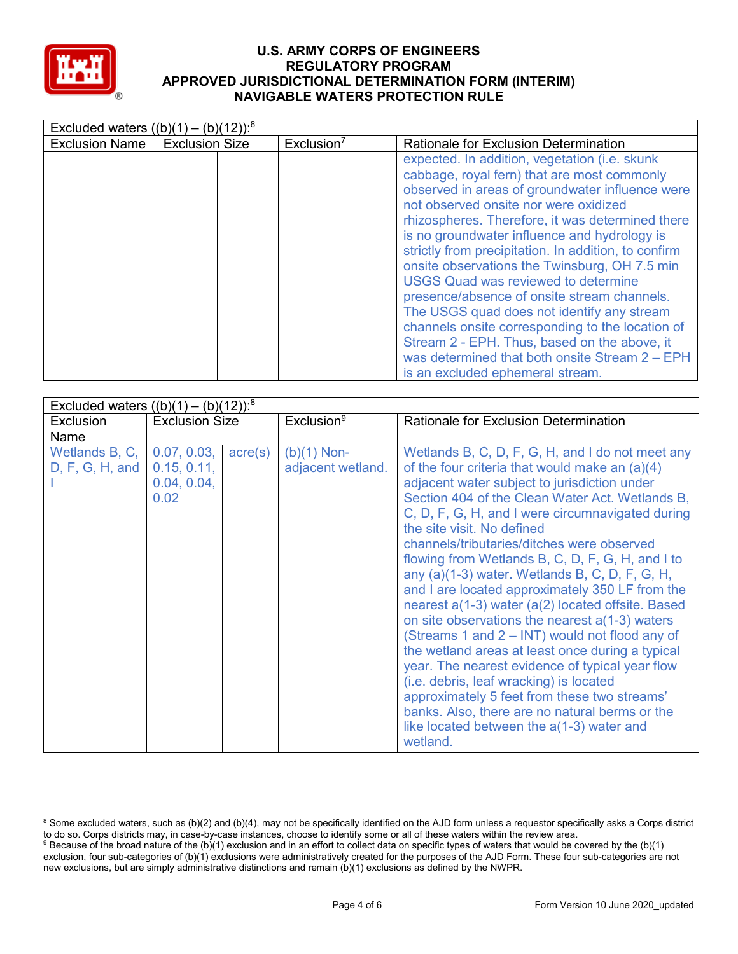

| Excluded waters $((b)(1) - (b)(12))$ : <sup>6</sup> |                       |                        |                                                                                                                                                                                                                                                                                                                                                                                                                                                                                                                                                                                                                                                                                                                                             |
|-----------------------------------------------------|-----------------------|------------------------|---------------------------------------------------------------------------------------------------------------------------------------------------------------------------------------------------------------------------------------------------------------------------------------------------------------------------------------------------------------------------------------------------------------------------------------------------------------------------------------------------------------------------------------------------------------------------------------------------------------------------------------------------------------------------------------------------------------------------------------------|
| <b>Exclusion Name</b>                               | <b>Exclusion Size</b> | Exclusion <sup>7</sup> | Rationale for Exclusion Determination                                                                                                                                                                                                                                                                                                                                                                                                                                                                                                                                                                                                                                                                                                       |
|                                                     |                       |                        | expected. In addition, vegetation (i.e. skunk)<br>cabbage, royal fern) that are most commonly<br>observed in areas of groundwater influence were<br>not observed onsite nor were oxidized<br>rhizospheres. Therefore, it was determined there<br>is no groundwater influence and hydrology is<br>strictly from precipitation. In addition, to confirm<br>onsite observations the Twinsburg, OH 7.5 min<br><b>USGS Quad was reviewed to determine</b><br>presence/absence of onsite stream channels.<br>The USGS quad does not identify any stream<br>channels onsite corresponding to the location of<br>Stream 2 - EPH. Thus, based on the above, it<br>was determined that both onsite Stream 2 - EPH<br>is an excluded ephemeral stream. |

| Excluded waters $((b)(1) - (b)(12))$ : <sup>8</sup> |                                                   |                  |                                    |                                                                                                                                                                                                                                                                                                                                                                                                                                                                                                                                                                                                                                                                                                                                                                                                                                                                                                                                                                          |
|-----------------------------------------------------|---------------------------------------------------|------------------|------------------------------------|--------------------------------------------------------------------------------------------------------------------------------------------------------------------------------------------------------------------------------------------------------------------------------------------------------------------------------------------------------------------------------------------------------------------------------------------------------------------------------------------------------------------------------------------------------------------------------------------------------------------------------------------------------------------------------------------------------------------------------------------------------------------------------------------------------------------------------------------------------------------------------------------------------------------------------------------------------------------------|
| <b>Exclusion</b>                                    | <b>Exclusion Size</b>                             |                  | Exclusion <sup>9</sup>             | <b>Rationale for Exclusion Determination</b>                                                                                                                                                                                                                                                                                                                                                                                                                                                                                                                                                                                                                                                                                                                                                                                                                                                                                                                             |
| Name                                                |                                                   |                  |                                    |                                                                                                                                                                                                                                                                                                                                                                                                                                                                                                                                                                                                                                                                                                                                                                                                                                                                                                                                                                          |
| Wetlands B, C,<br>D, F, G, H, and                   | 0.07, 0.03,<br>0.15, 0.11,<br>0.04, 0.04,<br>0.02 | $\text{acre}(s)$ | $(b)(1)$ Non-<br>adjacent wetland. | Wetlands B, C, D, F, G, H, and I do not meet any<br>of the four criteria that would make an (a)(4)<br>adjacent water subject to jurisdiction under<br>Section 404 of the Clean Water Act. Wetlands B,<br>C, D, F, G, H, and I were circumnavigated during<br>the site visit. No defined<br>channels/tributaries/ditches were observed<br>flowing from Wetlands B, C, D, F, G, H, and I to<br>any (a)(1-3) water. Wetlands B, C, D, F, G, H,<br>and I are located approximately 350 LF from the<br>nearest a(1-3) water (a(2) located offsite. Based<br>on site observations the nearest $a(1-3)$ waters<br>(Streams 1 and 2 – INT) would not flood any of<br>the wetland areas at least once during a typical<br>year. The nearest evidence of typical year flow<br>(i.e. debris, leaf wracking) is located<br>approximately 5 feet from these two streams'<br>banks. Also, there are no natural berms or the<br>like located between the $a(1-3)$ water and<br>wetland. |

<sup>&</sup>lt;sup>8</sup> Some excluded waters, such as (b)(2) and (b)(4), may not be specifically identified on the AJD form unless a requestor specifically asks a Corps district to do so. Corps districts may, in case-by-case instances, choose to identify some or all of these waters within the review area.

<sup>9</sup> Because of the broad nature of the (b)(1) exclusion and in an effort to collect data on specific types of waters that would be covered by the (b)(1) exclusion, four sub-categories of (b)(1) exclusions were administratively created for the purposes of the AJD Form. These four sub-categories are not new exclusions, but are simply administrative distinctions and remain (b)(1) exclusions as defined by the NWPR.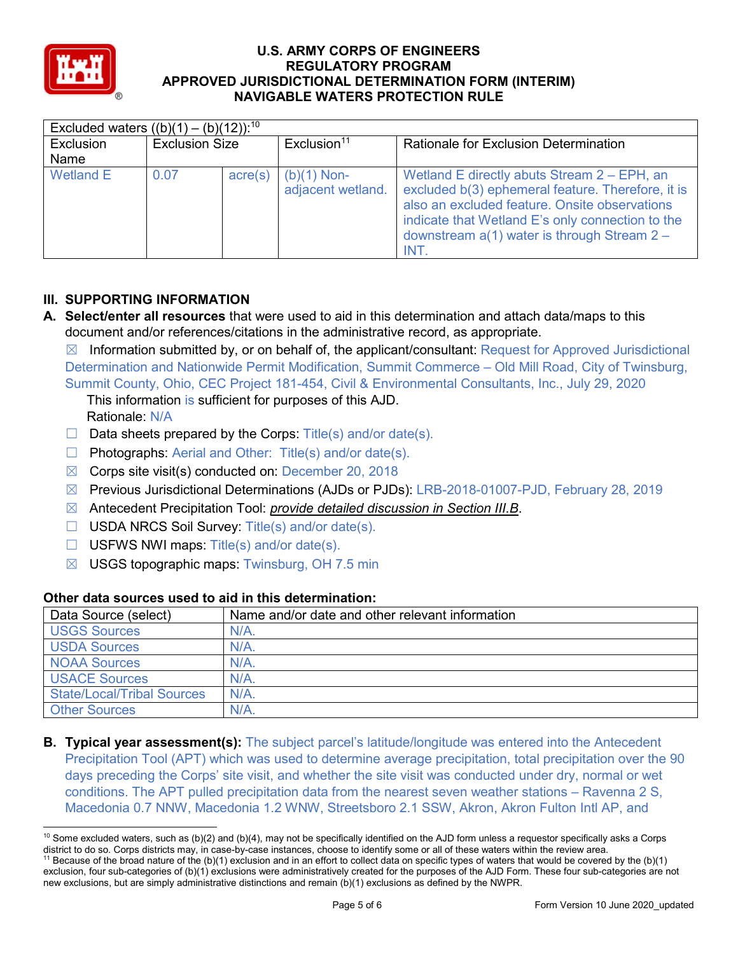

| Excluded waters $((b)(1) - (b)(12))$ : <sup>10</sup> |                       |         |                                    |                                                                                                                                                                                                                                                                |  |  |
|------------------------------------------------------|-----------------------|---------|------------------------------------|----------------------------------------------------------------------------------------------------------------------------------------------------------------------------------------------------------------------------------------------------------------|--|--|
| Exclusion                                            | <b>Exclusion Size</b> |         | Exclusion <sup>11</sup>            | <b>Rationale for Exclusion Determination</b>                                                                                                                                                                                                                   |  |  |
| Name                                                 |                       |         |                                    |                                                                                                                                                                                                                                                                |  |  |
| <b>Wetland E</b>                                     | 0.07                  | acre(s) | $(b)(1)$ Non-<br>adjacent wetland. | Wetland E directly abuts Stream 2 – EPH, an<br>excluded b(3) ephemeral feature. Therefore, it is<br>also an excluded feature. Onsite observations<br>indicate that Wetland E's only connection to the<br>downstream $a(1)$ water is through Stream 2 -<br>INT. |  |  |

# **III. SUPPORTING INFORMATION**

**A. Select/enter all resources** that were used to aid in this determination and attach data/maps to this document and/or references/citations in the administrative record, as appropriate.

 $\boxtimes$  Information submitted by, or on behalf of, the applicant/consultant: Request for Approved Jurisdictional Determination and Nationwide Permit Modification, Summit Commerce – Old Mill Road, City of Twinsburg, Summit County, Ohio, CEC Project 181-454, Civil & Environmental Consultants, Inc., July 29, 2020

This information is sufficient for purposes of this AJD.

Rationale: N/A

- $\Box$  Data sheets prepared by the Corps: Title(s) and/or date(s).
- ☐ Photographs: Aerial and Other: Title(s) and/or date(s).
- $\boxtimes$  Corps site visit(s) conducted on: December 20, 2018
- ☒ Previous Jurisdictional Determinations (AJDs or PJDs): LRB-2018-01007-PJD, February 28, 2019
- ☒ Antecedent Precipitation Tool: *provide detailed discussion in Section III.B*.
- ☐ USDA NRCS Soil Survey: Title(s) and/or date(s).
- $\Box$  USFWS NWI maps: Title(s) and/or date(s).
- $\boxtimes$  USGS topographic maps: Twinsburg, OH 7.5 min

| Data Source (select)              | Name and/or date and other relevant information |
|-----------------------------------|-------------------------------------------------|
| <b>USGS Sources</b>               | $N/A$ .                                         |
| <b>USDA Sources</b>               | $N/A$ .                                         |
| <b>NOAA Sources</b>               | $N/A$ .                                         |
| <b>USACE Sources</b>              | $N/A$ .                                         |
| <b>State/Local/Tribal Sources</b> | $N/A$ .                                         |
| <b>Other Sources</b>              | $N/A$ .                                         |

# **Other data sources used to aid in this determination:**

**B. Typical year assessment(s):** The subject parcel's latitude/longitude was entered into the Antecedent Precipitation Tool (APT) which was used to determine average precipitation, total precipitation over the 90 days preceding the Corps' site visit, and whether the site visit was conducted under dry, normal or wet conditions. The APT pulled precipitation data from the nearest seven weather stations – Ravenna 2 S, Macedonia 0.7 NNW, Macedonia 1.2 WNW, Streetsboro 2.1 SSW, Akron, Akron Fulton Intl AP, and

 $10$  Some excluded waters, such as (b)(2) and (b)(4), may not be specifically identified on the AJD form unless a requestor specifically asks a Corps district to do so. Corps districts may, in case-by-case instances, choose to identify some or all of these waters within the review area. <sup>11</sup> Because of the broad nature of the (b)(1) exclusion and in an effort to collect data on specific types of waters that would be covered by the (b)(1) exclusion, four sub-categories of (b)(1) exclusions were administratively created for the purposes of the AJD Form. These four sub-categories are not new exclusions, but are simply administrative distinctions and remain (b)(1) exclusions as defined by the NWPR.